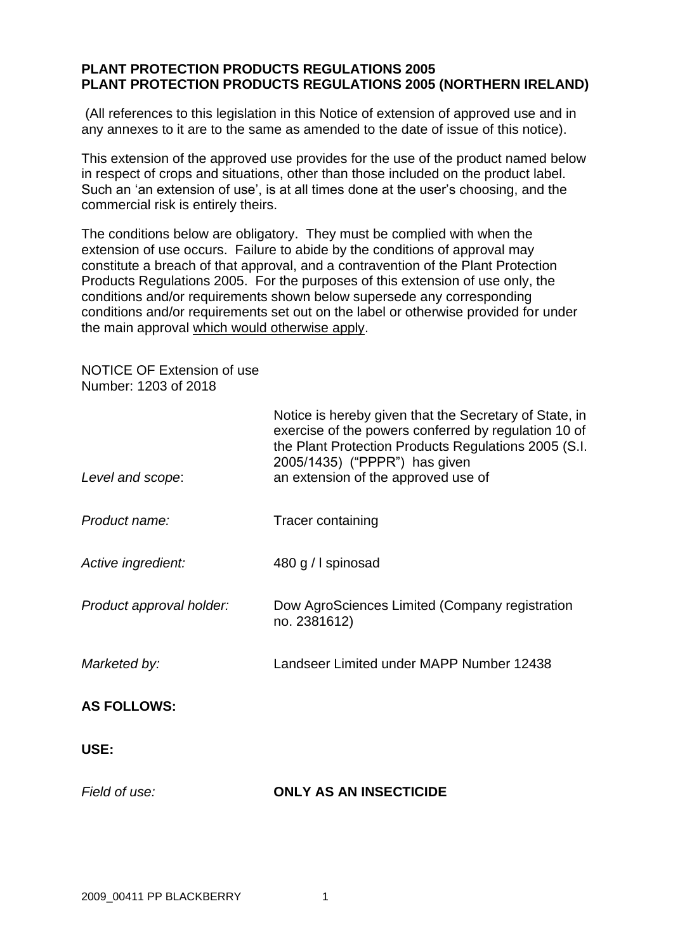## **PLANT PROTECTION PRODUCTS REGULATIONS 2005 PLANT PROTECTION PRODUCTS REGULATIONS 2005 (NORTHERN IRELAND)**

(All references to this legislation in this Notice of extension of approved use and in any annexes to it are to the same as amended to the date of issue of this notice).

This extension of the approved use provides for the use of the product named below in respect of crops and situations, other than those included on the product label. Such an 'an extension of use', is at all times done at the user's choosing, and the commercial risk is entirely theirs.

The conditions below are obligatory. They must be complied with when the extension of use occurs. Failure to abide by the conditions of approval may constitute a breach of that approval, and a contravention of the Plant Protection Products Regulations 2005. For the purposes of this extension of use only, the conditions and/or requirements shown below supersede any corresponding conditions and/or requirements set out on the label or otherwise provided for under the main approval which would otherwise apply.

NOTICE OF Extension of use Number: 1203 of 2018

| Level and scope:         | Notice is hereby given that the Secretary of State, in<br>exercise of the powers conferred by regulation 10 of<br>the Plant Protection Products Regulations 2005 (S.I.<br>2005/1435) ("PPPR") has given<br>an extension of the approved use of |
|--------------------------|------------------------------------------------------------------------------------------------------------------------------------------------------------------------------------------------------------------------------------------------|
| Product name:            | Tracer containing                                                                                                                                                                                                                              |
| Active ingredient:       | 480 g / I spinosad                                                                                                                                                                                                                             |
| Product approval holder: | Dow AgroSciences Limited (Company registration<br>no. 2381612)                                                                                                                                                                                 |
| Marketed by:             | Landseer Limited under MAPP Number 12438                                                                                                                                                                                                       |
| <b>AS FOLLOWS:</b>       |                                                                                                                                                                                                                                                |
| USE:                     |                                                                                                                                                                                                                                                |
| Field of use:            | <b>ONLY AS AN INSECTICIDE</b>                                                                                                                                                                                                                  |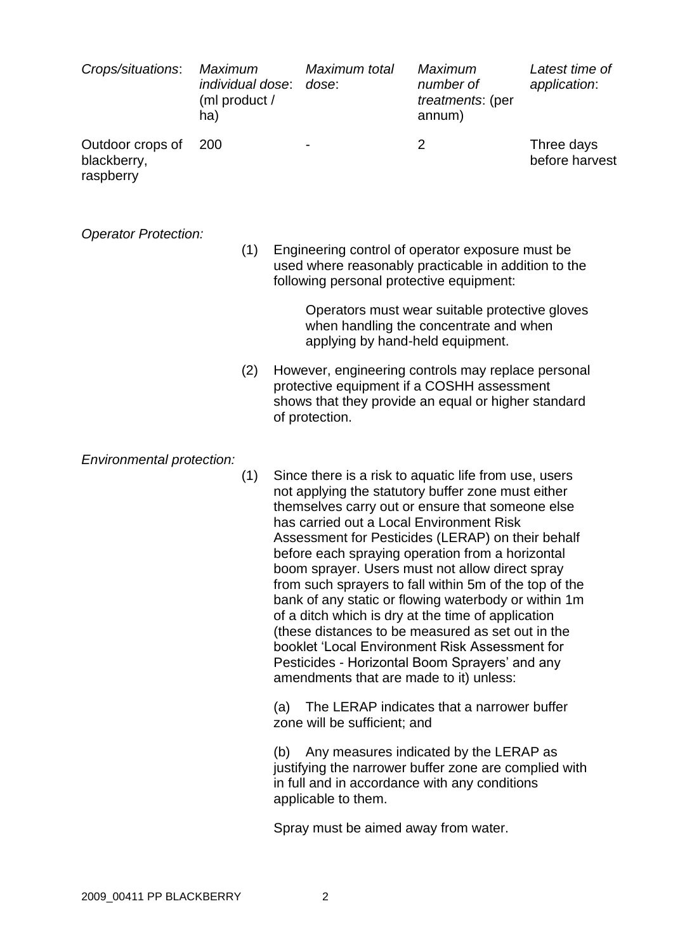| Crops/situations:                            | <b>Maximum</b><br>individual dose:<br>(ml product /<br>ha) | Maximum total<br>dose: | <b>Maximum</b><br>number of<br>treatments: (per<br>annum) | Latest time of<br>application: |
|----------------------------------------------|------------------------------------------------------------|------------------------|-----------------------------------------------------------|--------------------------------|
| Outdoor crops of<br>blackberry,<br>raspberry | -200                                                       | ۰                      |                                                           | Three days<br>before harvest   |

#### *Operator Protection:*

(1) Engineering control of operator exposure must be used where reasonably practicable in addition to the following personal protective equipment:

> Operators must wear suitable protective gloves when handling the concentrate and when applying by hand-held equipment.

(2) However, engineering controls may replace personal protective equipment if a COSHH assessment shows that they provide an equal or higher standard of protection.

### *Environmental protection:*

(1) Since there is a risk to aquatic life from use, users not applying the statutory buffer zone must either themselves carry out or ensure that someone else has carried out a Local Environment Risk Assessment for Pesticides (LERAP) on their behalf before each spraying operation from a horizontal boom sprayer. Users must not allow direct spray from such sprayers to fall within 5m of the top of the bank of any static or flowing waterbody or within 1m of a ditch which is dry at the time of application (these distances to be measured as set out in the booklet 'Local Environment Risk Assessment for Pesticides - Horizontal Boom Sprayers' and any amendments that are made to it) unless:

(a) The LERAP indicates that a narrower buffer zone will be sufficient; and

(b) Any measures indicated by the LERAP as justifying the narrower buffer zone are complied with in full and in accordance with any conditions applicable to them.

Spray must be aimed away from water.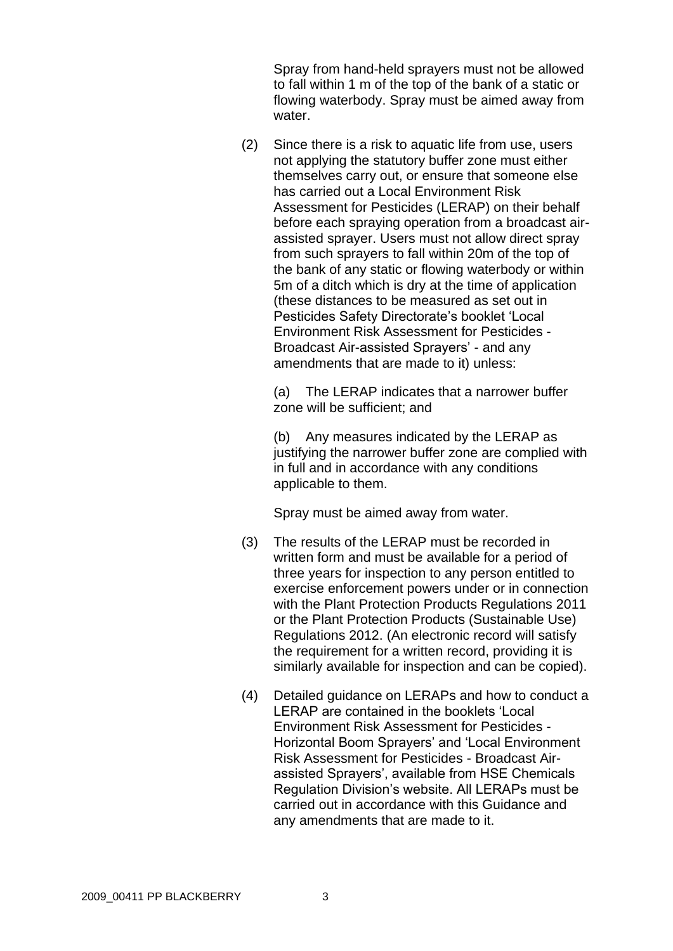Spray from hand-held sprayers must not be allowed to fall within 1 m of the top of the bank of a static or flowing waterbody. Spray must be aimed away from water.

(2) Since there is a risk to aquatic life from use, users not applying the statutory buffer zone must either themselves carry out, or ensure that someone else has carried out a Local Environment Risk Assessment for Pesticides (LERAP) on their behalf before each spraying operation from a broadcast airassisted sprayer. Users must not allow direct spray from such sprayers to fall within 20m of the top of the bank of any static or flowing waterbody or within 5m of a ditch which is dry at the time of application (these distances to be measured as set out in Pesticides Safety Directorate's booklet 'Local Environment Risk Assessment for Pesticides - Broadcast Air-assisted Sprayers' - and any amendments that are made to it) unless:

(a) The LERAP indicates that a narrower buffer zone will be sufficient; and

(b) Any measures indicated by the LERAP as justifying the narrower buffer zone are complied with in full and in accordance with any conditions applicable to them.

Spray must be aimed away from water.

- (3) The results of the LERAP must be recorded in written form and must be available for a period of three years for inspection to any person entitled to exercise enforcement powers under or in connection with the Plant Protection Products Regulations 2011 or the Plant Protection Products (Sustainable Use) Regulations 2012. (An electronic record will satisfy the requirement for a written record, providing it is similarly available for inspection and can be copied).
- (4) Detailed guidance on LERAPs and how to conduct a LERAP are contained in the booklets 'Local Environment Risk Assessment for Pesticides - Horizontal Boom Sprayers' and 'Local Environment Risk Assessment for Pesticides - Broadcast Airassisted Sprayers', available from HSE Chemicals Regulation Division's website. All LERAPs must be carried out in accordance with this Guidance and any amendments that are made to it.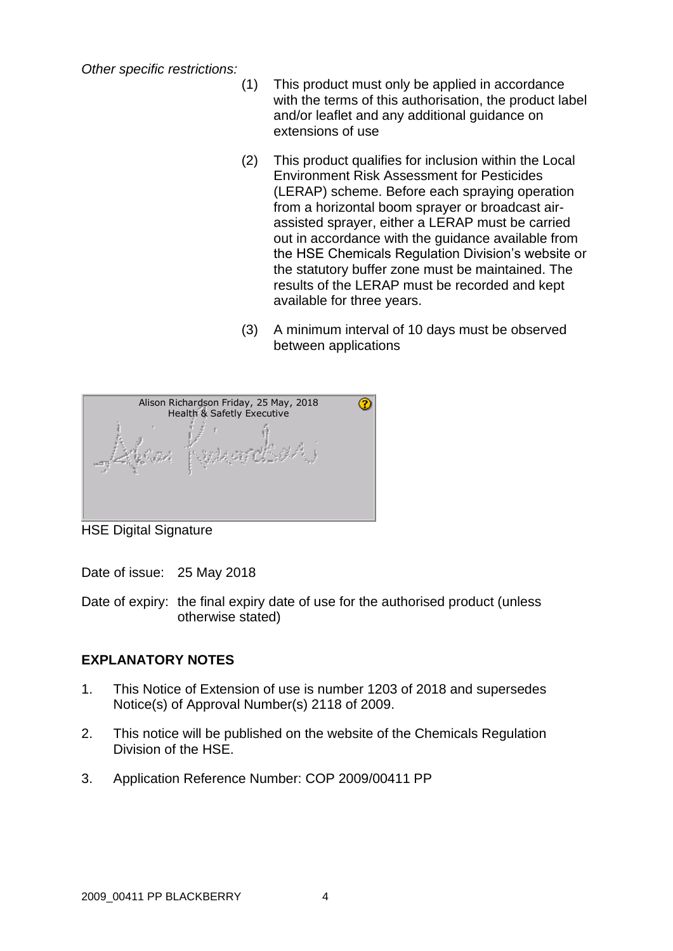*Other specific restrictions:*

- (1) This product must only be applied in accordance with the terms of this authorisation, the product label and/or leaflet and any additional guidance on extensions of use
- (2) This product qualifies for inclusion within the Local Environment Risk Assessment for Pesticides (LERAP) scheme. Before each spraying operation from a horizontal boom sprayer or broadcast airassisted sprayer, either a LERAP must be carried out in accordance with the guidance available from the HSE Chemicals Regulation Division's website or the statutory buffer zone must be maintained. The results of the LERAP must be recorded and kept available for three years.
- (3) A minimum interval of 10 days must be observed between applications



HSE Digital Signature

Date of issue: 25 May 2018

Date of expiry: the final expiry date of use for the authorised product (unless otherwise stated)

# **EXPLANATORY NOTES**

- 1. This Notice of Extension of use is number 1203 of 2018 and supersedes Notice(s) of Approval Number(s) 2118 of 2009.
- 2. This notice will be published on the website of the Chemicals Regulation Division of the HSE.
- 3. Application Reference Number: COP 2009/00411 PP